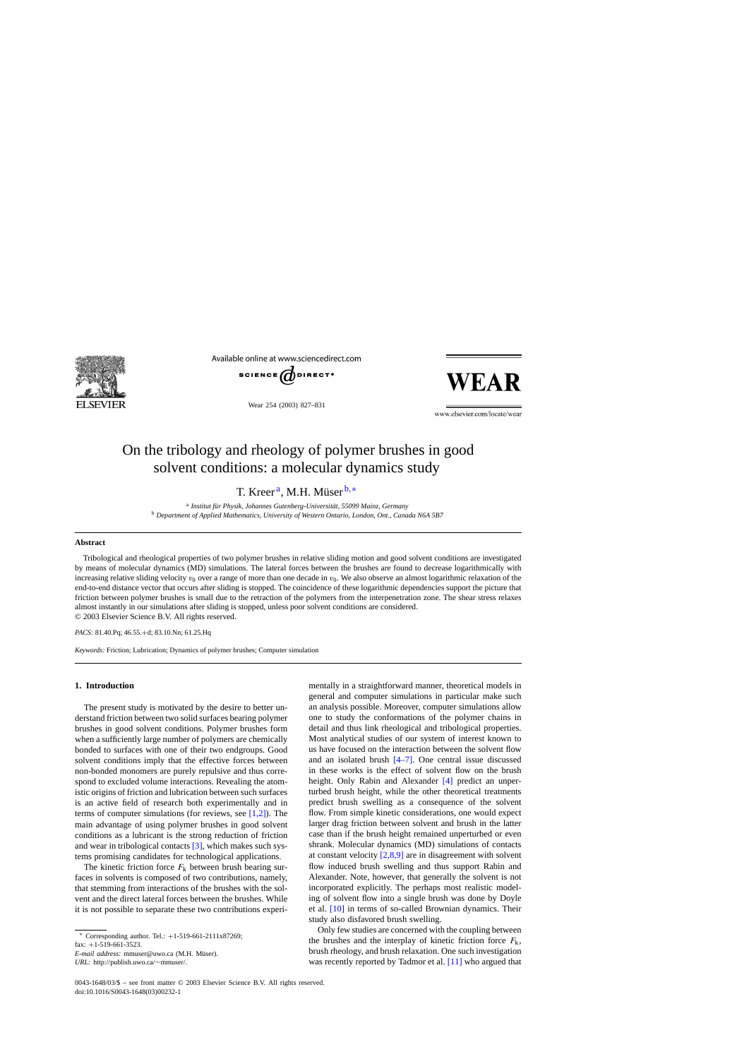

Available online at www.sciencedirect.com



Wear 254 (2003) 827–831

WEAR

www.elsevier.com/locate/wear

# On the tribology and rheology of polymer brushes in good solvent conditions: a molecular dynamics study

T. Kreer<sup>a</sup>, M.H. Müser<sup>b,∗</sup>

<sup>a</sup> *Institut für Physik, Johannes Gutenberg-Universität, 55099 Mainz, Germany* <sup>b</sup> *Department of Applied Mathematics, University of Western Ontario, London, Ont., Canada N6A 5B7*

# **Abstract**

Tribological and rheological properties of two polymer brushes in relative sliding motion and good solvent conditions are investigated by means of molecular dynamics (MD) simulations. The lateral forces between the brushes are found to decrease logarithmically with increasing relative sliding velocity  $v_0$  over a range of more than one decade in  $v_0$ . We also observe an almost logarithmic relaxation of the end-to-end distance vector that occurs after sliding is stopped. The coincidence of these logarithmic dependencies support the picture that friction between polymer brushes is small due to the retraction of the polymers from the interpenetration zone. The shear stress relaxes almost instantly in our simulations after sliding is stopped, unless poor solvent conditions are considered. © 2003 Elsevier Science B.V. All rights reserved.

*PACS:* 81.40.Pq; 46.55.+d; 83.10.Nn; 61.25.Hq

*Keywords:* Friction; Lubrication; Dynamics of polymer brushes; Computer simulation

## **1. Introduction**

The present study is motivated by the desire to better understand friction between two solid surfaces bearing polymer brushes in good solvent conditions. Polymer brushes form when a sufficiently large number of polymers are chemically bonded to surfaces with one of their two endgroups. Good solvent conditions imply that the effective forces between non-bonded monomers are purely repulsive and thus correspond to excluded volume interactions. Revealing the atomistic origins of friction and lubrication between such surfaces is an active field of research both experimentally and in terms of computer simulations (for reviews, see  $[1,2]$ ). The main advantage of using polymer brushes in good solvent conditions as a lubricant is the strong reduction of friction and wear in tribological contacts [\[3\], w](#page-4-0)hich makes such systems promising candidates for technological applications.

The kinetic friction force  $F_k$  between brush bearing surfaces in solvents is composed of two contributions, namely, that stemming from interactions of the brushes with the solvent and the direct lateral forces between the brushes. While it is not possible to separate these two contributions experi-

fax: +1-519-661-3523.

mentally in a straightforward manner, theoretical models in general and computer simulations in particular make such an analysis possible. Moreover, computer simulations allow one to study the conformations of the polymer chains in detail and thus link rheological and tribological properties. Most analytical studies of our system of interest known to us have focused on the interaction between the solvent flow and an isolated brush [\[4–7\].](#page-4-0) One central issue discussed in these works is the effect of solvent flow on the brush height. Only Rabin and Alexander [\[4\]](#page-4-0) predict an unperturbed brush height, while the other theoretical treatments predict brush swelling as a consequence of the solvent flow. From simple kinetic considerations, one would expect larger drag friction between solvent and brush in the latter case than if the brush height remained unperturbed or even shrank. Molecular dynamics (MD) simulations of contacts at constant velocity  $[2,8,9]$  are in disagreement with solvent flow induced brush swelling and thus support Rabin and Alexander. Note, however, that generally the solvent is not incorporated explicitly. The perhaps most realistic modeling of solvent flow into a single brush was done by Doyle et al. [\[10\]](#page-4-0) in terms of so-called Brownian dynamics. Their study also disfavored brush swelling.

Only few studies are concerned with the coupling between the brushes and the interplay of kinetic friction force  $F_k$ , brush rheology, and brush relaxation. One such investigation was recently reported by Tadmor et al. [\[11\]](#page-4-0) who argued that

<sup>∗</sup> Corresponding author. Tel.: +1-519-661-2111x87269;

*E-mail address:* mmuser@uwo.ca (M.H. Müser).

*URL:* http://publish.uwo.ca/∼mmuser/.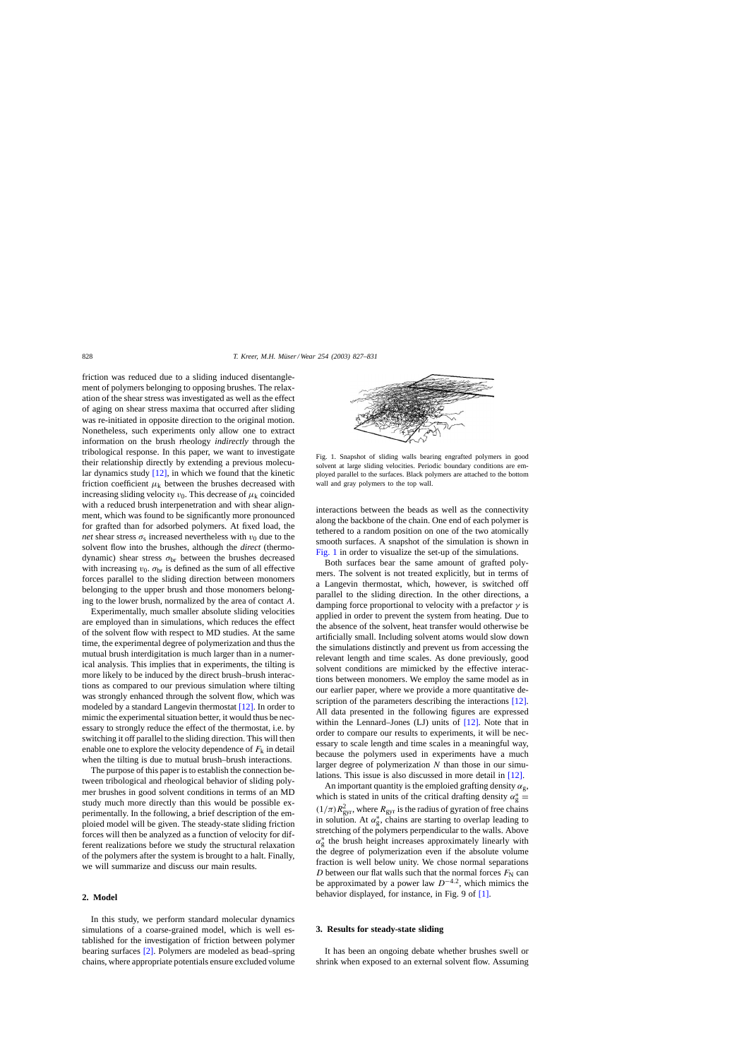friction was reduced due to a sliding induced disentanglement of polymers belonging to opposing brushes. The relaxation of the shear stress was investigated as well as the effect of aging on shear stress maxima that occurred after sliding was re-initiated in opposite direction to the original motion. Nonetheless, such experiments only allow one to extract information on the brush rheology *indirectly* through the tribological response. In this paper, we want to investigate their relationship directly by extending a previous molecular dynamics study  $[12]$ , in which we found that the kinetic friction coefficient  $\mu_k$  between the brushes decreased with increasing sliding velocity  $v_0$ . This decrease of  $\mu_k$  coincided with a reduced brush interpenetration and with shear alignment, which was found to be significantly more pronounced for grafted than for adsorbed polymers. At fixed load, the *net* shear stress  $\sigma_s$  increased nevertheless with  $v_0$  due to the solvent flow into the brushes, although the *direct* (thermodynamic) shear stress  $\sigma_{\rm br}$  between the brushes decreased with increasing  $v_0$ .  $\sigma_{\rm br}$  is defined as the sum of all effective forces parallel to the sliding direction between monomers belonging to the upper brush and those monomers belonging to the lower brush, normalized by the area of contact A.

Experimentally, much smaller absolute sliding velocities are employed than in simulations, which reduces the effect of the solvent flow with respect to MD studies. At the same time, the experimental degree of polymerization and thus the mutual brush interdigitation is much larger than in a numerical analysis. This implies that in experiments, the tilting is more likely to be induced by the direct brush–brush interactions as compared to our previous simulation where tilting was strongly enhanced through the solvent flow, which was modeled by a standard Langevin thermostat [\[12\]. I](#page-4-0)n order to mimic the experimental situation better, it would thus be necessary to strongly reduce the effect of the thermostat, i.e. by switching it off parallel to the sliding direction. This will then enable one to explore the velocity dependence of  $F_k$  in detail when the tilting is due to mutual brush–brush interactions.

The purpose of this paper is to establish the connection between tribological and rheological behavior of sliding polymer brushes in good solvent conditions in terms of an MD study much more directly than this would be possible experimentally. In the following, a brief description of the emploied model will be given. The steady-state sliding friction forces will then be analyzed as a function of velocity for different realizations before we study the structural relaxation of the polymers after the system is brought to a halt. Finally, we will summarize and discuss our main results.

# **2. Model**

In this study, we perform standard molecular dynamics simulations of a coarse-grained model, which is well established for the investigation of friction between polymer bearing surfaces [\[2\].](#page-4-0) Polymers are modeled as bead–spring chains, where appropriate potentials ensure excluded volume



Fig. 1. Snapshot of sliding walls bearing engrafted polymers in good solvent at large sliding velocities. Periodic boundary conditions are employed parallel to the surfaces. Black polymers are attached to the bottom wall and gray polymers to the top wall.

interactions between the beads as well as the connectivity along the backbone of the chain. One end of each polymer is tethered to a random position on one of the two atomically smooth surfaces. A snapshot of the simulation is shown in Fig. 1 in order to visualize the set-up of the simulations.

Both surfaces bear the same amount of grafted polymers. The solvent is not treated explicitly, but in terms of a Langevin thermostat, which, however, is switched off parallel to the sliding direction. In the other directions, a damping force proportional to velocity with a prefactor  $\gamma$  is applied in order to prevent the system from heating. Due to the absence of the solvent, heat transfer would otherwise be artificially small. Including solvent atoms would slow down the simulations distinctly and prevent us from accessing the relevant length and time scales. As done previously, good solvent conditions are mimicked by the effective interactions between monomers. We employ the same model as in our earlier paper, where we provide a more quantitative de-scription of the parameters describing the interactions [\[12\].](#page-4-0) All data presented in the following figures are expressed within the Lennard–Jones  $(LJ)$  units of  $[12]$ . Note that in order to compare our results to experiments, it will be necessary to scale length and time scales in a meaningful way, because the polymers used in experiments have a much larger degree of polymerization  $N$  than those in our simulations. This issue is also discussed in more detail in [\[12\].](#page-4-0)

An important quantity is the emploied grafting density  $\alpha_{\varrho}$ , which is stated in units of the critical drafting density  $\alpha_{\rm g}^* =$  $(1/\pi)R_{\text{gyr}}^2$ , where  $R_{\text{gyr}}$  is the radius of gyration of free chains in solution. At  $\alpha_{\rm g}^*$ , chains are starting to overlap leading to stretching of the polymers perpendicular to the walls. Above  $\alpha_{\rm g}^*$  the brush height increases approximately linearly with the degree of polymerization even if the absolute volume fraction is well below unity. We chose normal separations D between our flat walls such that the normal forces  $F_N$  can be approximated by a power law  $D^{-4.2}$ , which mimics the behavior displayed, for instance, in Fig. 9 of [\[1\].](#page-4-0)

#### **3. Results for steady-state sliding**

It has been an ongoing debate whether brushes swell or shrink when exposed to an external solvent flow. Assuming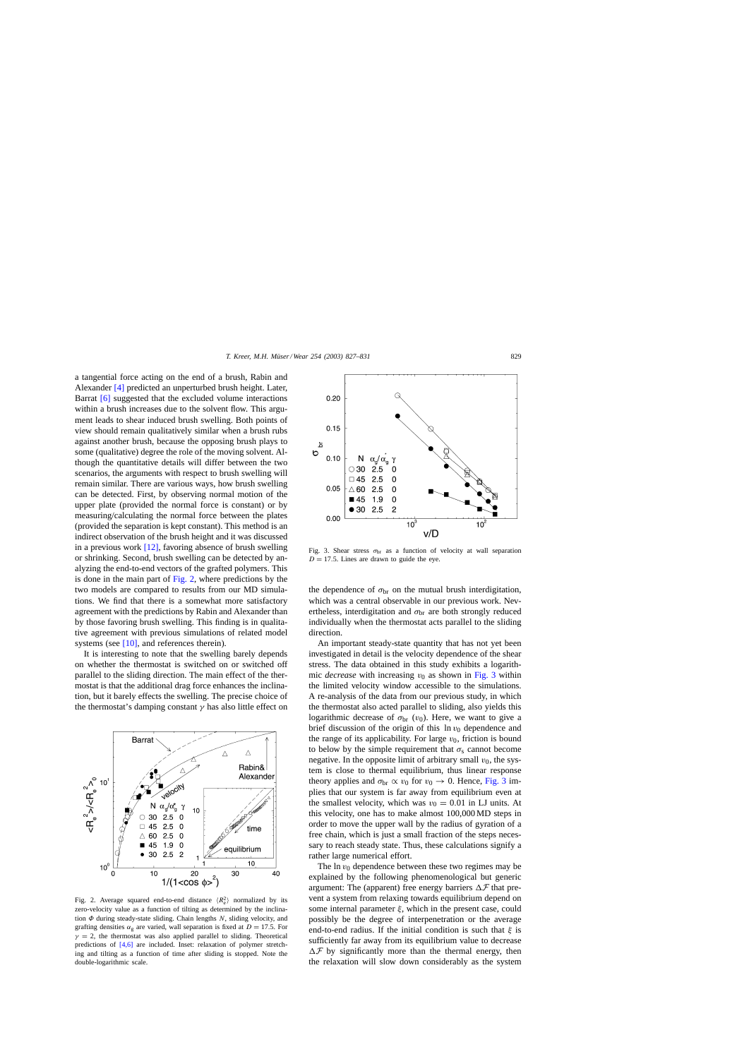<span id="page-2-0"></span>a tangential force acting on the end of a brush, Rabin and Alexander [\[4\]](#page-4-0) predicted an unperturbed brush height. Later, Barrat [\[6\]](#page-4-0) suggested that the excluded volume interactions within a brush increases due to the solvent flow. This argument leads to shear induced brush swelling. Both points of view should remain qualitatively similar when a brush rubs against another brush, because the opposing brush plays to some (qualitative) degree the role of the moving solvent. Although the quantitative details will differ between the two scenarios, the arguments with respect to brush swelling will remain similar. There are various ways, how brush swelling can be detected. First, by observing normal motion of the upper plate (provided the normal force is constant) or by measuring/calculating the normal force between the plates (provided the separation is kept constant). This method is an indirect observation of the brush height and it was discussed in a previous work [\[12\],](#page-4-0) favoring absence of brush swelling or shrinking. Second, brush swelling can be detected by analyzing the end-to-end vectors of the grafted polymers. This is done in the main part of  $Fig. 2$ , where predictions by the two models are compared to results from our MD simulations. We find that there is a somewhat more satisfactory agreement with the predictions by Rabin and Alexander than by those favoring brush swelling. This finding is in qualitative agreement with previous simulations of related model systems (see [\[10\],](#page-4-0) and references therein).

It is interesting to note that the swelling barely depends on whether the thermostat is switched on or switched off parallel to the sliding direction. The main effect of the thermostat is that the additional drag force enhances the inclination, but it barely effects the swelling. The precise choice of the thermostat's damping constant  $\gamma$  has also little effect on



Fig. 2. Average squared end-to-end distance  $\langle R_e^2 \rangle$  normalized by its zero-velocity value as a function of tilting as determined by the inclination  $\Phi$  during steady-state sliding. Chain lengths  $N$ , sliding velocity, and grafting densities  $\alpha_{\rm g}$  are varied, wall separation is fixed at  $D = 17.5$ . For  $\gamma = 2$ , the thermostat was also applied parallel to sliding. Theoretical predictions of [\[4,6\]](#page-4-0) are included. Inset: relaxation of polymer stretching and tilting as a function of time after sliding is stopped. Note the double-logarithmic scale.



Fig. 3. Shear stress  $\sigma_{\rm br}$  as a function of velocity at wall separation  $D = 17.5$ . Lines are drawn to guide the eye.

the dependence of  $\sigma_{\rm br}$  on the mutual brush interdigitation, which was a central observable in our previous work. Nevertheless, interdigitation and  $\sigma_{\rm br}$  are both strongly reduced individually when the thermostat acts parallel to the sliding direction.

An important steady-state quantity that has not yet been investigated in detail is the velocity dependence of the shear stress. The data obtained in this study exhibits a logarithmic *decrease* with increasing  $v_0$  as shown in Fig. 3 within the limited velocity window accessible to the simulations. A re-analysis of the data from our previous study, in which the thermostat also acted parallel to sliding, also yields this logarithmic decrease of  $\sigma_{\rm br}$  ( $v_0$ ). Here, we want to give a brief discussion of the origin of this  $\ln v_0$  dependence and the range of its applicability. For large  $v_0$ , friction is bound to below by the simple requirement that  $\sigma_s$  cannot become negative. In the opposite limit of arbitrary small  $v_0$ , the system is close to thermal equilibrium, thus linear response theory applies and  $\sigma_{\rm br} \propto v_0$  for  $v_0 \to 0$ . Hence, Fig. 3 implies that our system is far away from equilibrium even at the smallest velocity, which was  $v_0 = 0.01$  in LJ units. At this velocity, one has to make almost 100,000 MD steps in order to move the upper wall by the radius of gyration of a free chain, which is just a small fraction of the steps necessary to reach steady state. Thus, these calculations signify a rather large numerical effort.

The ln  $v_0$  dependence between these two regimes may be explained by the following phenomenological but generic argument: The (apparent) free energy barriers  $\Delta \mathcal{F}$  that prevent a system from relaxing towards equilibrium depend on some internal parameter  $\xi$ , which in the present case, could possibly be the degree of interpenetration or the average end-to-end radius. If the initial condition is such that  $\xi$  is sufficiently far away from its equilibrium value to decrease  $\Delta \mathcal{F}$  by significantly more than the thermal energy, then the relaxation will slow down considerably as the system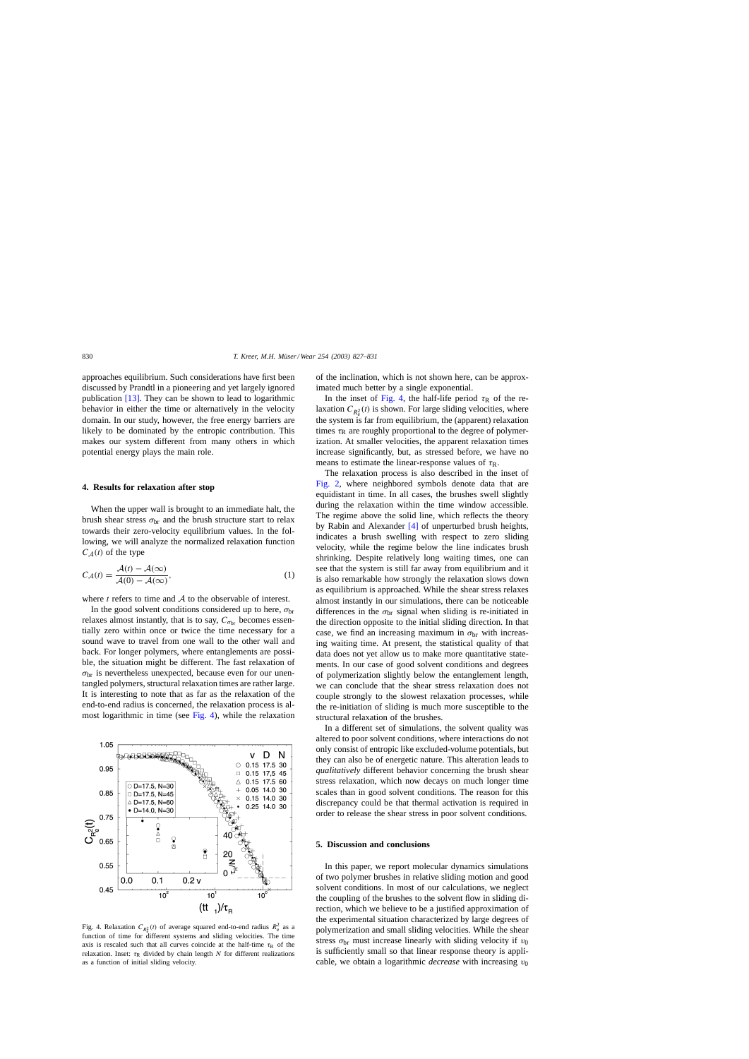approaches equilibrium. Such considerations have first been discussed by Prandtl in a pioneering and yet largely ignored publication [\[13\].](#page-4-0) They can be shown to lead to logarithmic behavior in either the time or alternatively in the velocity domain. In our study, however, the free energy barriers are likely to be dominated by the entropic contribution. This makes our system different from many others in which potential energy plays the main role.

#### **4. Results for relaxation after stop**

When the upper wall is brought to an immediate halt, the brush shear stress  $\sigma_{\rm br}$  and the brush structure start to relax towards their zero-velocity equilibrium values. In the following, we will analyze the normalized relaxation function  $C_A(t)$  of the type

$$
C_{\mathcal{A}}(t) = \frac{\mathcal{A}(t) - \mathcal{A}(\infty)}{\mathcal{A}(0) - \mathcal{A}(\infty)},
$$
\n(1)

where  $t$  refers to time and  $A$  to the observable of interest.

In the good solvent conditions considered up to here,  $\sigma_{\rm br}$ relaxes almost instantly, that is to say,  $C_{\sigma_{\rm br}}$  becomes essentially zero within once or twice the time necessary for a sound wave to travel from one wall to the other wall and back. For longer polymers, where entanglements are possible, the situation might be different. The fast relaxation of  $\sigma_{\rm br}$  is nevertheless unexpected, because even for our unentangled polymers, structural relaxation times are rather large. It is interesting to note that as far as the relaxation of the end-to-end radius is concerned, the relaxation process is almost logarithmic in time (see Fig. 4), while the relaxation



Fig. 4. Relaxation  $C_{R_c^2}(t)$  of average squared end-to-end radius  $R_c^2$  as a function of time for different systems and sliding velocities. The time axis is rescaled such that all curves coincide at the half-time  $\tau_R$  of the relaxation. Inset:  $\tau_R$  divided by chain length N for different realizations as a function of initial sliding velocity.

of the inclination, which is not shown here, can be approximated much better by a single exponential.

In the inset of Fig. 4, the half-life period  $\tau_R$  of the relaxation  $C_{R_{\epsilon}^2}(t)$  is shown. For large sliding velocities, where the system is far from equilibrium, the (apparent) relaxation times  $\tau_R$  are roughly proportional to the degree of polymerization. At smaller velocities, the apparent relaxation times increase significantly, but, as stressed before, we have no means to estimate the linear-response values of  $\tau_R$ .

The relaxation process is also described in the inset of [Fig. 2,](#page-2-0) where neighbored symbols denote data that are equidistant in time. In all cases, the brushes swell slightly during the relaxation within the time window accessible. The regime above the solid line, which reflects the theory by Rabin and Alexander [\[4\]](#page-4-0) of unperturbed brush heights, indicates a brush swelling with respect to zero sliding velocity, while the regime below the line indicates brush shrinking. Despite relatively long waiting times, one can see that the system is still far away from equilibrium and it is also remarkable how strongly the relaxation slows down as equilibrium is approached. While the shear stress relaxes almost instantly in our simulations, there can be noticeable differences in the  $\sigma_{\rm br}$  signal when sliding is re-initiated in the direction opposite to the initial sliding direction. In that case, we find an increasing maximum in  $\sigma_{\rm br}$  with increasing waiting time. At present, the statistical quality of that data does not yet allow us to make more quantitative statements. In our case of good solvent conditions and degrees of polymerization slightly below the entanglement length, we can conclude that the shear stress relaxation does not couple strongly to the slowest relaxation processes, while the re-initiation of sliding is much more susceptible to the structural relaxation of the brushes.

In a different set of simulations, the solvent quality was altered to poor solvent conditions, where interactions do not only consist of entropic like excluded-volume potentials, but they can also be of energetic nature. This alteration leads to *qualitatively* different behavior concerning the brush shear stress relaxation, which now decays on much longer time scales than in good solvent conditions. The reason for this discrepancy could be that thermal activation is required in order to release the shear stress in poor solvent conditions.

### **5. Discussion and conclusions**

In this paper, we report molecular dynamics simulations of two polymer brushes in relative sliding motion and good solvent conditions. In most of our calculations, we neglect the coupling of the brushes to the solvent flow in sliding direction, which we believe to be a justified approximation of the experimental situation characterized by large degrees of polymerization and small sliding velocities. While the shear stress  $\sigma_{\rm br}$  must increase linearly with sliding velocity if  $v_0$ is sufficiently small so that linear response theory is applicable, we obtain a logarithmic *decrease* with increasing  $v_0$